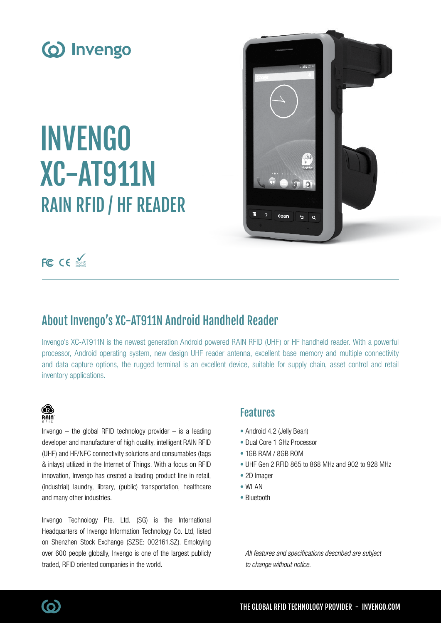

# INVENGO XC-AT911N RAIN RFID / HF READER



FC CE ROHS

## About Invengo's XC-AT911N Android Handheld Reader

Invengo's XC-AT911N is the newest generation Android powered RAIN RFID (UHF) or HF handheld reader. With a powerful processor, Android operating system, new design UHF reader antenna, excellent base memory and multiple connectivity and data capture options, the rugged terminal is an excellent device, suitable for supply chain, asset control and retail inventory applications.



Invengo  $-$  the global RFID technology provider  $-$  is a leading developer and manufacturer of high quality, intelligent RAIN RFID (UHF) and HF/NFC connectivity solutions and consumables (tags & inlays) utilized in the Internet of Things. With a focus on RFID innovation, Invengo has created a leading product line in retail, (industrial) laundry, library, (public) transportation, healthcare and many other industries.

Invengo Technology Pte. Ltd. (SG) is the International Headquarters of Invengo Information Technology Co. Ltd, listed on Shenzhen Stock Exchange (SZSE: 002161.SZ). Employing over 600 people globally, Invengo is one of the largest publicly traded, RFID oriented companies in the world.

### Features

- Android 4.2 (Jelly Bean)
- Dual Core 1 GHz Processor
- 1GB RAM / 8GB ROM
- UHF Gen 2 RFID 865 to 868 MHz and 902 to 928 MHz
- 2D Imager
- WI AN
- Bluetooth

All features and specifications described are subject to change without notice.